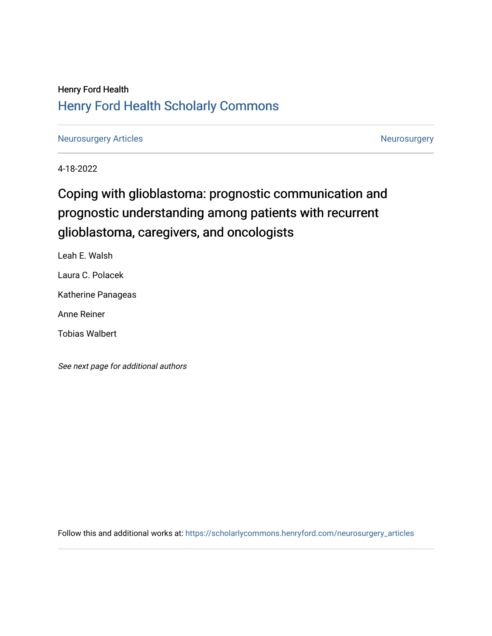# Henry Ford Health [Henry Ford Health Scholarly Commons](https://scholarlycommons.henryford.com/)

[Neurosurgery Articles](https://scholarlycommons.henryford.com/neurosurgery_articles) **Neurosurgery** Neurosurgery

4-18-2022

# Coping with glioblastoma: prognostic communication and prognostic understanding among patients with recurrent glioblastoma, caregivers, and oncologists

Leah E. Walsh

Laura C. Polacek

Katherine Panageas

Anne Reiner

Tobias Walbert

See next page for additional authors

Follow this and additional works at: [https://scholarlycommons.henryford.com/neurosurgery\\_articles](https://scholarlycommons.henryford.com/neurosurgery_articles?utm_source=scholarlycommons.henryford.com%2Fneurosurgery_articles%2F445&utm_medium=PDF&utm_campaign=PDFCoverPages)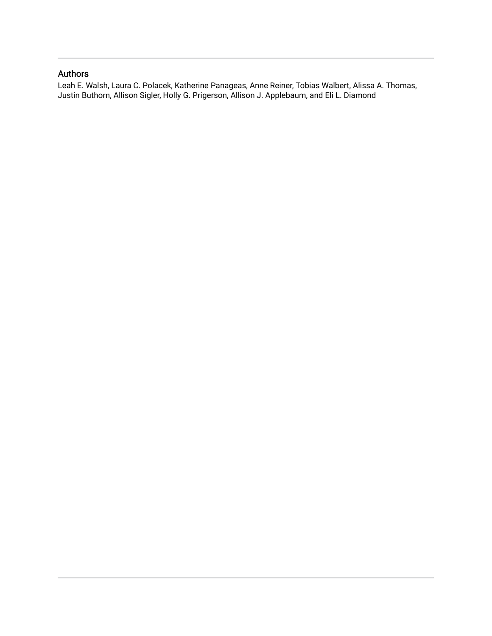## Authors

Leah E. Walsh, Laura C. Polacek, Katherine Panageas, Anne Reiner, Tobias Walbert, Alissa A. Thomas, Justin Buthorn, Allison Sigler, Holly G. Prigerson, Allison J. Applebaum, and Eli L. Diamond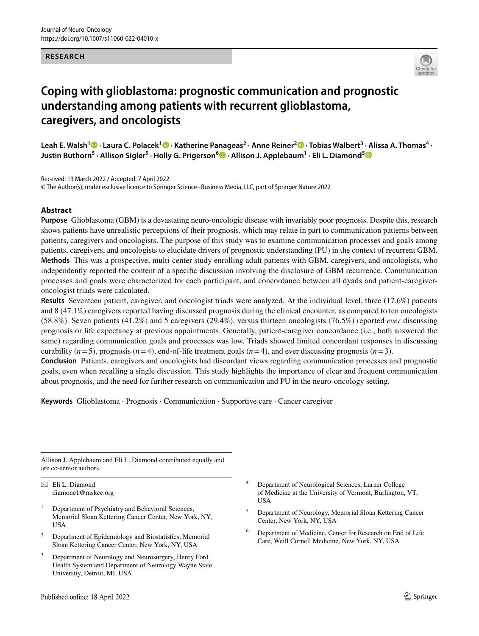#### **RESEARCH**



# **Coping with glioblastoma: prognostic communication and prognostic understanding among patients with recurrent glioblastoma, caregivers, and oncologists**

**Leah E. Walsh<sup>1</sup> · Laura C. Polacek1 · Katherine Panageas2 · Anne Reiner2 · Tobias Walbert3 · Alissa A. Thomas4 · Justin Buthorn<sup>5</sup> · Allison Sigler5 · Holly G. Prigerson6  [·](http://orcid.org/0000-0002-7075-4268) Allison J. Applebaum1 · Eli L. Diamond[5](http://orcid.org/0000-0001-5456-5961)**

Received: 13 March 2022 / Accepted: 7 April 2022

© The Author(s), under exclusive licence to Springer Science+Business Media, LLC, part of Springer Nature 2022

#### **Abstract**

**Purpose** Glioblastoma (GBM) is a devastating neuro-oncologic disease with invariably poor prognosis. Despite this, research shows patients have unrealistic perceptions of their prognosis, which may relate in part to communication patterns between patients, caregivers and oncologists. The purpose of this study was to examine communication processes and goals among patients, caregivers, and oncologists to elucidate drivers of prognostic understanding (PU) in the context of recurrent GBM. **Methods** This was a prospective, multi-center study enrolling adult patients with GBM, caregivers, and oncologists, who independently reported the content of a specifc discussion involving the disclosure of GBM recurrence. Communication processes and goals were characterized for each participant, and concordance between all dyads and patient-caregiveroncologist triads were calculated.

**Results** Seventeen patient, caregiver, and oncologist triads were analyzed. At the individual level, three (17.6%) patients and 8 (47.1%) caregivers reported having discussed prognosis during the clinical encounter, as compared to ten oncologists (58.8%). Seven patients (41.2%) and 5 caregivers (29.4%), versus thirteen oncologists (76.5%) reported *ever* discussing prognosis or life expectancy at previous appointments. Generally, patient-caregiver concordance (i.e., both answered the same) regarding communication goals and processes was low. Triads showed limited concordant responses in discussing curability  $(n=5)$ , prognosis  $(n=4)$ , end-of-life treatment goals  $(n=4)$ , and ever discussing prognosis  $(n=3)$ .

**Conclusion** Patients, caregivers and oncologists had discordant views regarding communication processes and prognostic goals, even when recalling a single discussion. This study highlights the importance of clear and frequent communication about prognosis, and the need for further research on communication and PU in the neuro-oncology setting.

**Keywords** Glioblastoma · Prognosis · Communication · Supportive care · Cancer caregiver

Allison J. Applebaum and Eli L. Diamond contributed equally and are co-senior authors.

 $\boxtimes$  Eli L. Diamond diamone1@mskcc.org

- <sup>1</sup> Department of Psychiatry and Behavioral Sciences, Memorial Sloan Kettering Cancer Center, New York, NY, **IISA**
- <sup>2</sup> Department of Epidemiology and Biostatistics, Memorial Sloan Kettering Cancer Center, New York, NY, USA
- Department of Neurology and Neurosurgery, Henry Ford Health System and Department of Neurology Wayne State University, Detroit, MI, USA
- Department of Neurological Sciences, Larner College of Medicine at the University of Vermont, Burlington, VT, USA
- <sup>5</sup> Department of Neurology, Memorial Sloan Kettering Cancer Center, New York, NY, USA
- <sup>6</sup> Department of Medicine, Center for Research on End of Life Care, Weill Cornell Medicine, New York, NY, USA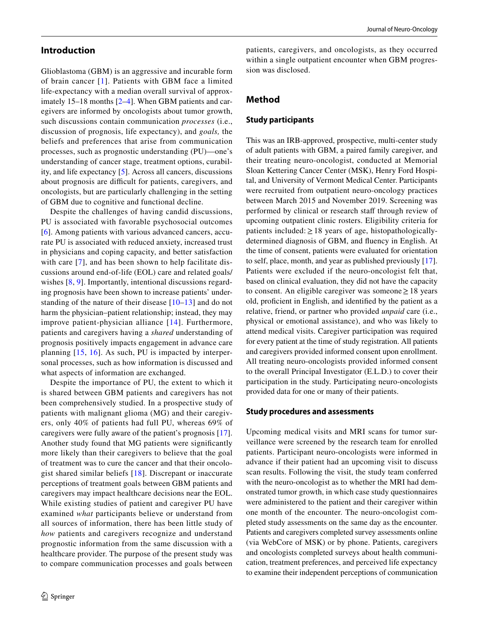#### **Introduction**

Glioblastoma (GBM) is an aggressive and incurable form of brain cancer [[1](#page-11-0)]. Patients with GBM face a limited life-expectancy with a median overall survival of approximately 15–18 months [\[2](#page-11-1)[–4](#page-11-2)]. When GBM patients and caregivers are informed by oncologists about tumor growth, such discussions contain communication *processes* (i.e., discussion of prognosis, life expectancy), and *goals,* the beliefs and preferences that arise from communication processes, such as prognostic understanding (PU)—one's understanding of cancer stage, treatment options, curability, and life expectancy [[5\]](#page-11-3). Across all cancers, discussions about prognosis are difficult for patients, caregivers, and oncologists, but are particularly challenging in the setting of GBM due to cognitive and functional decline.

Despite the challenges of having candid discussions, PU is associated with favorable psychosocial outcomes [[6\]](#page-11-4). Among patients with various advanced cancers, accurate PU is associated with reduced anxiety, increased trust in physicians and coping capacity, and better satisfaction with care [[7](#page-11-5)], and has been shown to help facilitate discussions around end-of-life (EOL) care and related goals/ wishes  $[8, 9]$  $[8, 9]$  $[8, 9]$  $[8, 9]$ . Importantly, intentional discussions regarding prognosis have been shown to increase patients' understanding of the nature of their disease [[10](#page-11-8)[–13\]](#page-11-9) and do not harm the physician–patient relationship; instead, they may improve patient-physician alliance [[14\]](#page-11-10). Furthermore, patients and caregivers having a *shared* understanding of prognosis positively impacts engagement in advance care planning [[15](#page-11-11), [16\]](#page-12-0). As such, PU is impacted by interpersonal processes, such as how information is discussed and what aspects of information are exchanged.

Despite the importance of PU, the extent to which it is shared between GBM patients and caregivers has not been comprehensively studied. In a prospective study of patients with malignant glioma (MG) and their caregivers, only 40% of patients had full PU, whereas 69% of caregivers were fully aware of the patient's prognosis [[17](#page-12-1)]. Another study found that MG patients were signifcantly more likely than their caregivers to believe that the goal of treatment was to cure the cancer and that their oncologist shared similar beliefs [\[18\]](#page-12-2). Discrepant or inaccurate perceptions of treatment goals between GBM patients and caregivers may impact healthcare decisions near the EOL. While existing studies of patient and caregiver PU have examined *what* participants believe or understand from all sources of information, there has been little study of *how* patients and caregivers recognize and understand prognostic information from the same discussion with a healthcare provider. The purpose of the present study was to compare communication processes and goals between

patients, caregivers, and oncologists, as they occurred within a single outpatient encounter when GBM progression was disclosed.

#### **Method**

#### **Study participants**

This was an IRB-approved, prospective, multi-center study of adult patients with GBM, a paired family caregiver, and their treating neuro-oncologist, conducted at Memorial Sloan Kettering Cancer Center (MSK), Henry Ford Hospital, and University of Vermont Medical Center. Participants were recruited from outpatient neuro-oncology practices between March 2015 and November 2019. Screening was performed by clinical or research staff through review of upcoming outpatient clinic rosters. Eligibility criteria for patients included:  $\geq 18$  years of age, histopathologicallydetermined diagnosis of GBM, and fuency in English. At the time of consent, patients were evaluated for orientation to self, place, month, and year as published previously [\[17](#page-12-1)]. Patients were excluded if the neuro-oncologist felt that, based on clinical evaluation, they did not have the capacity to consent. An eligible caregiver was someone≥18 years old, profcient in English, and identifed by the patient as a relative, friend, or partner who provided *unpaid* care (i.e., physical or emotional assistance), and who was likely to attend medical visits. Caregiver participation was required for every patient at the time of study registration. All patients and caregivers provided informed consent upon enrollment. All treating neuro-oncologists provided informed consent to the overall Principal Investigator (E.L.D.) to cover their participation in the study. Participating neuro-oncologists provided data for one or many of their patients.

#### **Study procedures and assessments**

Upcoming medical visits and MRI scans for tumor surveillance were screened by the research team for enrolled patients. Participant neuro-oncologists were informed in advance if their patient had an upcoming visit to discuss scan results. Following the visit, the study team conferred with the neuro-oncologist as to whether the MRI had demonstrated tumor growth, in which case study questionnaires were administered to the patient and their caregiver within one month of the encounter. The neuro-oncologist completed study assessments on the same day as the encounter. Patients and caregivers completed survey assessments online (via WebCore of MSK) or by phone. Patients, caregivers and oncologists completed surveys about health communication, treatment preferences, and perceived life expectancy to examine their independent perceptions of communication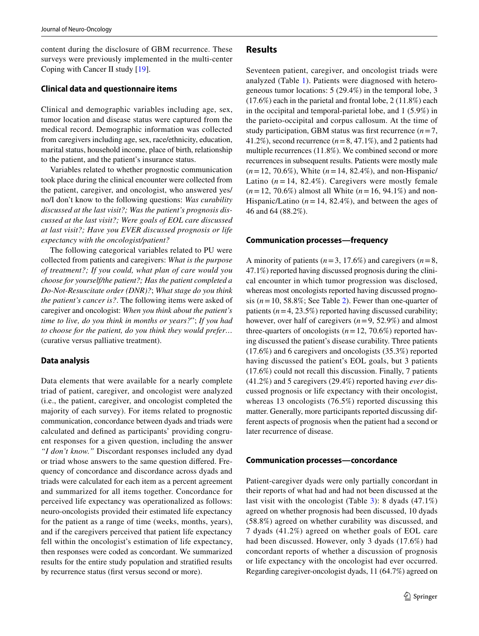content during the disclosure of GBM recurrence. These surveys were previously implemented in the multi-center Coping with Cancer II study [[19\]](#page-12-3).

#### **Clinical data and questionnaire items**

Clinical and demographic variables including age, sex, tumor location and disease status were captured from the medical record. Demographic information was collected from caregivers including age, sex, race/ethnicity, education, marital status, household income, place of birth, relationship to the patient, and the patient's insurance status.

Variables related to whether prognostic communication took place during the clinical encounter were collected from the patient, caregiver, and oncologist, who answered yes/ no/I don't know to the following questions: *Was curability discussed at the last visit?; Was the patient's prognosis discussed at the last visit?; Were goals of EOL care discussed at last visit?; Have you EVER discussed prognosis or life expectancy with the oncologist/patient?*

The following categorical variables related to PU were collected from patients and caregivers: *What is the purpose of treatment?; If you could, what plan of care would you choose for yourself/the patient?; Has the patient completed a Do-Not-Resuscitate order (DNR)?*; *What stage do you think the patient's cancer is?*. The following items were asked of caregiver and oncologist: *When you think about the patient's time to live, do you think in months or years?*"; *If you had to choose for the patient, do you think they would prefer…* (curative versus palliative treatment).

#### **Data analysis**

Data elements that were available for a nearly complete triad of patient, caregiver, and oncologist were analyzed (i.e., the patient, caregiver, and oncologist completed the majority of each survey). For items related to prognostic communication, concordance between dyads and triads were calculated and defned as participants' providing congruent responses for a given question, including the answer *"I don't know."* Discordant responses included any dyad or triad whose answers to the same question difered. Frequency of concordance and discordance across dyads and triads were calculated for each item as a percent agreement and summarized for all items together. Concordance for perceived life expectancy was operationalized as follows: neuro-oncologists provided their estimated life expectancy for the patient as a range of time (weeks, months, years), and if the caregivers perceived that patient life expectancy fell within the oncologist's estimation of life expectancy, then responses were coded as concordant. We summarized results for the entire study population and stratifed results by recurrence status (frst versus second or more).

#### **Results**

Seventeen patient, caregiver, and oncologist triads were analyzed (Table [1\)](#page-5-0). Patients were diagnosed with heterogeneous tumor locations: 5 (29.4%) in the temporal lobe, 3 (17.6%) each in the parietal and frontal lobe, 2 (11.8%) each in the occipital and temporal-parietal lobe, and 1 (5.9%) in the parieto-occipital and corpus callosum. At the time of study participation, GBM status was first recurrence  $(n=7, 1)$ 41.2%), second recurrence  $(n=8, 47.1\%)$ , and 2 patients had multiple recurrences (11.8%). We combined second or more recurrences in subsequent results. Patients were mostly male (*n*=12, 70.6%), White (*n*=14, 82.4%), and non-Hispanic/ Latino  $(n = 14, 82.4\%)$ . Caregivers were mostly female (*n*=12, 70.6%) almost all White (*n*=16, 94.1%) and non-Hispanic/Latino  $(n=14, 82.4\%)$ , and between the ages of 46 and 64 (88.2%).

#### **Communication processes—frequency**

A minority of patients  $(n=3, 17.6\%)$  and caregivers  $(n=8, 17.6\%)$ 47.1%) reported having discussed prognosis during the clinical encounter in which tumor progression was disclosed, whereas most oncologists reported having discussed prognosis  $(n=10, 58.8\%;$  See Table [2\)](#page-6-0). Fewer than one-quarter of patients  $(n=4, 23.5\%)$  reported having discussed curability; however, over half of caregivers (*n*=9, 52.9%) and almost three-quarters of oncologists  $(n=12, 70.6\%)$  reported having discussed the patient's disease curability. Three patients (17.6%) and 6 caregivers and oncologists (35.3%) reported having discussed the patient's EOL goals, but 3 patients (17.6%) could not recall this discussion. Finally, 7 patients (41.2%) and 5 caregivers (29.4%) reported having *ever* discussed prognosis or life expectancy with their oncologist, whereas 13 oncologists (76.5%) reported discussing this matter. Generally, more participants reported discussing different aspects of prognosis when the patient had a second or later recurrence of disease.

#### **Communication processes—concordance**

Patient-caregiver dyads were only partially concordant in their reports of what had and had not been discussed at the last visit with the oncologist (Table [3\)](#page-7-0): 8 dyads (47.1%) agreed on whether prognosis had been discussed, 10 dyads (58.8%) agreed on whether curability was discussed, and 7 dyads (41.2%) agreed on whether goals of EOL care had been discussed. However, only 3 dyads (17.6%) had concordant reports of whether a discussion of prognosis or life expectancy with the oncologist had ever occurred. Regarding caregiver-oncologist dyads, 11 (64.7%) agreed on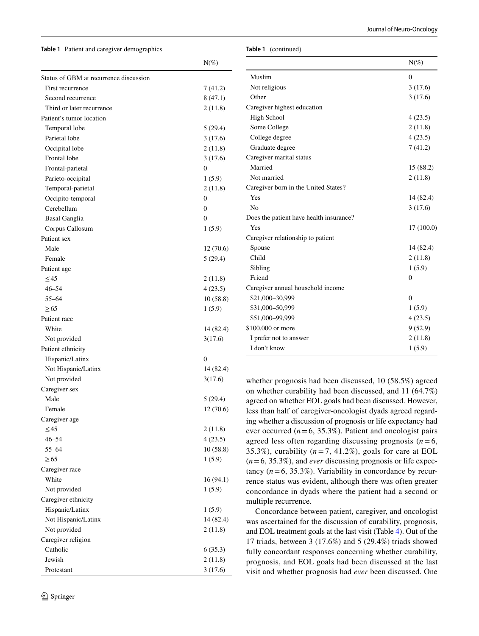<span id="page-5-0"></span>**Table 1** Patient and caregiver demographics

| Table 1 | (continued) |
|---------|-------------|
|---------|-------------|

|                                        | $N(\%)$        |
|----------------------------------------|----------------|
| Status of GBM at recurrence discussion |                |
| First recurrence                       | 7 (41.2)       |
| Second recurrence                      | 8(47.1)        |
| Third or later recurrence              | 2(11.8)        |
| Patient's tumor location               |                |
| Temporal lobe                          | 5(29.4)        |
| Parietal lobe                          | 3(17.6)        |
| Occipital lobe                         | 2(11.8)        |
| Frontal lobe                           | 3(17.6)        |
| Frontal-parietal                       | 0              |
| Parieto-occipital                      | 1(5.9)         |
| Temporal-parietal                      | 2(11.8)        |
| Occipito-temporal                      | 0              |
| Cerebellum                             | $\overline{0}$ |
| <b>Basal Ganglia</b>                   | $\overline{0}$ |
| Corpus Callosum                        | 1(5.9)         |
| Patient sex                            |                |
| Male                                   | 12 (70.6)      |
| Female                                 | 5(29.4)        |
| Patient age                            |                |
| $\leq$ 45                              | 2 (11.8)       |
| $46 - 54$                              | 4(23.5)        |
| $55 - 64$                              | 10(58.8)       |
| $\geq 65$                              | 1(5.9)         |
| Patient race                           |                |
| White                                  | 14 (82.4)      |
| Not provided                           | 3(17.6)        |
| Patient ethnicity                      |                |
| Hispanic/Latinx                        | 0              |
| Not Hispanic/Latinx                    | 14 (82.4)      |
| Not provided                           | 3(17.6)        |
| Caregiver sex                          |                |
| Male                                   | 5(29.4)        |
| Female                                 | 12(70.6)       |
| Caregiver age                          |                |
| $\leq$ 45                              | 2(11.8)        |
| $46 - 54$                              | 4(23.5)        |
| 55-64                                  | 10(58.8)       |
| $\geq 65$                              | 1(5.9)         |
| Caregiver race                         |                |
| White                                  | 16(94.1)       |
| Not provided                           | 1(5.9)         |
| Caregiver ethnicity                    |                |
|                                        |                |
| Hispanic/Latinx                        | 1(5.9)         |
| Not Hispanic/Latinx                    | 14 (82.4)      |
| Not provided                           | 2(11.8)        |
| Caregiver religion                     |                |
| Catholic                               | 6(35.3)        |
| Jewish                                 | 2(11.8)        |
| Protestant                             | 3(17.6)        |

|                                         | $N(\%)$    |
|-----------------------------------------|------------|
| Muslim                                  | 0          |
| Not religious                           | 3(17.6)    |
| Other                                   | 3(17.6)    |
| Caregiver highest education             |            |
| High School                             | 4(23.5)    |
| Some College                            | 2(11.8)    |
| College degree                          | 4(23.5)    |
| Graduate degree                         | 7(41.2)    |
| Caregiver marital status                |            |
| Married                                 | 15 (88.2)  |
| Not married                             | 2(11.8)    |
| Caregiver born in the United States?    |            |
| Yes                                     | 14 (82.4)  |
| N <sub>0</sub>                          | 3(17.6)    |
| Does the patient have health insurance? |            |
| Yes                                     | 17 (100.0) |
| Caregiver relationship to patient       |            |
| Spouse                                  | 14 (82.4)  |
| Child                                   | 2(11.8)    |
| Sibling                                 | 1(5.9)     |
| Friend                                  | 0          |
| Caregiver annual household income       |            |
| \$21,000-30,999                         | 0          |
| \$31,000-50,999                         | 1(5.9)     |
| \$51,000-99,999                         | 4(23.5)    |
| \$100,000 or more                       | 9(52.9)    |
| I prefer not to answer                  | 2(11.8)    |
| I don't know                            | 1(5.9)     |

whether prognosis had been discussed, 10 (58.5%) agreed on whether curability had been discussed, and 11 (64.7%) agreed on whether EOL goals had been discussed. However, less than half of caregiver-oncologist dyads agreed regarding whether a discussion of prognosis or life expectancy had ever occurred  $(n=6, 35.3\%)$ . Patient and oncologist pairs agreed less often regarding discussing prognosis  $(n=6,$ 35.3%), curability  $(n=7, 41.2\%)$ , goals for care at EOL (*n*=6, 35.3%), and *ever* discussing prognosis or life expectancy  $(n=6, 35.3\%)$ . Variability in concordance by recurrence status was evident, although there was often greater concordance in dyads where the patient had a second or multiple recurrence.

Concordance between patient, caregiver, and oncologist was ascertained for the discussion of curability, prognosis, and EOL treatment goals at the last visit (Table [4\)](#page-9-0). Out of the 17 triads, between 3 (17.6%) and 5 (29.4%) triads showed fully concordant responses concerning whether curability, prognosis, and EOL goals had been discussed at the last visit and whether prognosis had *ever* been discussed. One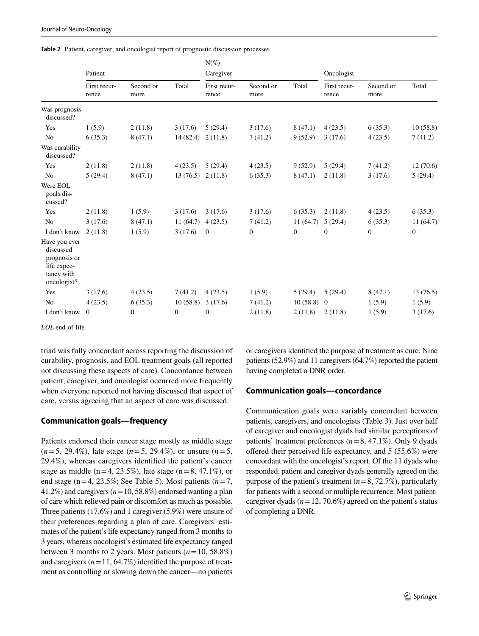<span id="page-6-0"></span>

|  |  | <b>Table 2</b> Patient, caregiver, and oncologist report of prognostic discussion processes |  |
|--|--|---------------------------------------------------------------------------------------------|--|
|--|--|---------------------------------------------------------------------------------------------|--|

|                                                                                        |                       |                   |          | $N(\%)$               |                   |          |                       |                   |                  |
|----------------------------------------------------------------------------------------|-----------------------|-------------------|----------|-----------------------|-------------------|----------|-----------------------|-------------------|------------------|
|                                                                                        | Patient               |                   |          | Caregiver             |                   |          | Oncologist            |                   |                  |
|                                                                                        | First recur-<br>rence | Second or<br>more | Total    | First recur-<br>rence | Second or<br>more | Total    | First recur-<br>rence | Second or<br>more | Total            |
| Was prognosis<br>discussed?                                                            |                       |                   |          |                       |                   |          |                       |                   |                  |
| Yes                                                                                    | 1(5.9)                | 2(11.8)           | 3(17.6)  | 5(29.4)               | 3(17.6)           | 8(47.1)  | 4(23.5)               | 6(35.3)           | 10(58.8)         |
| No                                                                                     | 6(35.3)               | 8(47.1)           | 14(82.4) | 2(11.8)               | 7(41.2)           | 9(52.9)  | 3(17.6)               | 4(23.5)           | 7(41.2)          |
| Was curability<br>discussed?                                                           |                       |                   |          |                       |                   |          |                       |                   |                  |
| Yes                                                                                    | 2(11.8)               | 2(11.8)           | 4(23.5)  | 5(29.4)               | 4(23.5)           | 9(52.9)  | 5(29.4)               | 7(41.2)           | 12(70.6)         |
| N <sub>0</sub>                                                                         | 5(29.4)               | 8(47.1)           | 13(76.5) | 2(11.8)               | 6(35.3)           | 8(47.1)  | 2(11.8)               | 3(17.6)           | 5(29.4)          |
| Were EOL<br>goals dis-<br>cussed?                                                      |                       |                   |          |                       |                   |          |                       |                   |                  |
| Yes                                                                                    | 2(11.8)               | 1(5.9)            | 3(17.6)  | 3(17.6)               | 3(17.6)           | 6(35.3)  | 2(11.8)               | 4(23.5)           | 6(35.3)          |
| N <sub>0</sub>                                                                         | 3(17.6)               | 8(47.1)           | 11(64.7) | 4(23.5)               | 7(41.2)           | 11(64.7) | 5(29.4)               | 6(35.3)           | 11(64.7)         |
| I don't know                                                                           | 2(11.8)               | 1(5.9)            | 3(17.6)  | $\mathbf{0}$          | $\mathbf{0}$      | $\theta$ | $\mathbf{0}$          | $\mathbf{0}$      | $\boldsymbol{0}$ |
| Have you ever<br>discussed<br>prognosis or<br>life expec-<br>tancy with<br>oncologist? |                       |                   |          |                       |                   |          |                       |                   |                  |
| Yes                                                                                    | 3(17.6)               | 4(23.5)           | 7(41.2)  | 4(23.5)               | 1(5.9)            | 5(29.4)  | 5(29.4)               | 8(47.1)           | 13(76.5)         |
| N <sub>0</sub>                                                                         | 4(23.5)               | 6(35.3)           | 10(58.8) | 3(17.6)               | 7(41.2)           | 10(58.8) | $\overline{0}$        | 1(5.9)            | 1(5.9)           |
| I don't know                                                                           | $\overline{0}$        | $\overline{0}$    | $\theta$ | $\mathbf{0}$          | 2(11.8)           | 2(11.8)  | 2(11.8)               | 1(5.9)            | 3(17.6)          |

*EOL* end-of-life

triad was fully concordant across reporting the discussion of curability, prognosis, and EOL treatment goals (all reported not discussing these aspects of care). Concordance between patient, caregiver, and oncologist occurred more frequently when everyone reported not having discussed that aspect of care, versus agreeing that an aspect of care was discussed.

#### **Communication goals—frequency**

Patients endorsed their cancer stage mostly as middle stage (*n*=5, 29.4%), late stage (*n*=5, 29.4%), or unsure (*n*=5, 29.4%), whereas caregivers identifed the patient's cancer stage as middle ( $n=4$ , 23.5%), late stage ( $n=8$ , 47.1%), or end stage ( $n=4$ , 23.5%; See Table [5\)](#page-10-0). Most patients ( $n=7$ , 41.2%) and caregivers  $(n=10, 58.8\%)$  endorsed wanting a plan of care which relieved pain or discomfort as much as possible. Three patients (17.6%) and 1 caregiver (5.9%) were unsure of their preferences regarding a plan of care. Caregivers' estimates of the patient's life expectancy ranged from 3 months to 3 years, whereas oncologist's estimated life expectancy ranged between 3 months to 2 years. Most patients (*n*=10, 58.8%) and caregivers  $(n=11, 64.7\%)$  identified the purpose of treatment as controlling or slowing down the cancer—no patients

or caregivers identifed the purpose of treatment as cure. Nine patients (52.9%) and 11 caregivers (64.7%) reported the patient having completed a DNR order.

#### **Communication goals—concordance**

Communication goals were variably concordant between patients, caregivers, and oncologists (Table [3](#page-7-0)). Just over half of caregiver and oncologist dyads had similar perceptions of patients' treatment preferences  $(n=8, 47.1\%)$ . Only 9 dyads offered their perceived life expectancy, and  $5(55.6%)$  were concordant with the oncologist's report. Of the 11 dyads who responded, patient and caregiver dyads generally agreed on the purpose of the patient's treatment (*n*=8, 72.7%), particularly for patients with a second or multiple recurrence. Most patientcaregiver dyads  $(n=12, 70.6\%)$  agreed on the patient's status of completing a DNR.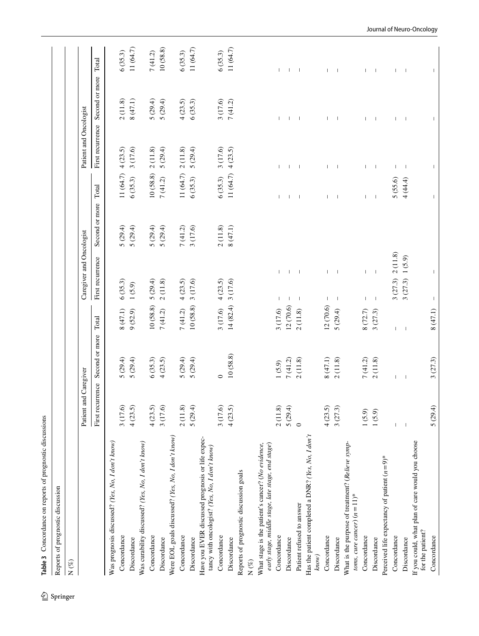<span id="page-7-0"></span>

| N $(\%)$                                                                                               |                          |                |              |                                                      |                        |                          |                          |                          |                          |
|--------------------------------------------------------------------------------------------------------|--------------------------|----------------|--------------|------------------------------------------------------|------------------------|--------------------------|--------------------------|--------------------------|--------------------------|
|                                                                                                        | Patient and Caregiver    |                |              | Caregiver and Oncologist                             |                        |                          | Patient and Oncologist   |                          |                          |
|                                                                                                        | First recurrence         | Second or more | Total        | First recurrence                                     | Second or more         | Total                    | First recurrence         | Second or more           | Total                    |
| Was prognosis discussed? (Yes, No, I don't know)                                                       |                          |                |              |                                                      |                        |                          |                          |                          |                          |
| Concordance                                                                                            | 3 (17.6)                 | 5(29.4)        | 8(47.1)      | 6(35.3)                                              |                        | 11 (64.7)                | 4(23.5)                  | 2(11.8)                  | 6(35.3)                  |
| Discordance                                                                                            | 4(23.5)                  | 5(29.4)        | 9(52.9)      | $1(5.9)$                                             | $5(29.4)$<br>$5(29.4)$ | 6(35.3)                  | 3 (17.6)                 | 8(47.1)                  | 11 (64.7)                |
| Was curability discussed? (Yes, No, I don't know)                                                      |                          |                |              |                                                      |                        |                          |                          |                          |                          |
| Concordance                                                                                            | 4(23.5)                  | 6(35.3)        | 10(58.8)     | 5(29.4)                                              | 5(29.4)                | 10(58.8)                 | 2(11.8)                  | 5(29.4)                  | 7(41.2)                  |
| Discordance                                                                                            | 3 (17.6)                 | 4(23.5)        | 7(41.2)      | 2(11.8)                                              | 5(29.4)                | 7(41.2)                  | 5(29.4)                  | 5(29.4)                  | 10(58.8)                 |
| Were EOL goals discussed? (Yes, No, I don't know)                                                      |                          |                |              |                                                      |                        |                          |                          |                          |                          |
| Concordance                                                                                            | 2(11.8)                  | 5(29.4)        | 7(41.2)      | 4(23.5)                                              | 7(41.2)                | 11 (64.7)                | 2(11.8)                  | 4(23.5)                  | 6(35.3)                  |
| Discordance                                                                                            | 5(29.4)                  | 5(29.4)        | 10(58.8)     | 3 (17.6)                                             | 3 (17.6)               | 6(35.3)                  | 5(29.4)                  | 6(35.3)                  | 11 (64.7)                |
| Have you EVER discussed prognosis or life expec-<br>tancy with oncologist? (Yes, No, I don't know)     |                          |                |              |                                                      |                        |                          |                          |                          |                          |
| Concordance                                                                                            | 3(17.6)                  | $\circ$        | 3 (17.6)     | 4(23.5)                                              | 2(11.8)                | 6(35.3)                  | 3 (17.6)                 | 3 (17.6)                 | 6(35.3)                  |
| Discordance                                                                                            | 4(23.5)                  | 10(58.8)       | 14(82.4)     | 3 (17.6)                                             | 8(47.1)                | 11 (64.7)                | 4(23.5)                  | 7(41.2)                  | 11 (64.7)                |
| Reports of prognostic discussion goals                                                                 |                          |                |              |                                                      |                        |                          |                          |                          |                          |
| N $(\%)$                                                                                               |                          |                |              |                                                      |                        |                          |                          |                          |                          |
| early stage, middle stage, late stage, end stage)<br>What stage is the patient's cancer? (No evidence, |                          |                |              |                                                      |                        |                          |                          |                          |                          |
| Concordance                                                                                            | 2(11.8)                  | 1(5.9)         | 3 (17.6)     | $\mathbf{L}$<br>$\mathbf{I}$                         |                        |                          |                          |                          |                          |
| Discordance                                                                                            | 5(29.4)                  | 7(41.2)        | 12(70.6)     | $\mathbf{I}$<br>$\overline{\phantom{a}}$             |                        | $\mathbf{I}$             |                          |                          | $\mathbf{I}$             |
| Patient refused to answer                                                                              | $\circ$                  | 2(11.8)        | 2(11.8)      | $\overline{\phantom{0}}$<br>$\mathbf{I}$             |                        | $\overline{1}$           | $\mathbf{I}$             | $\mathbf{I}$             | $\overline{\phantom{a}}$ |
| Has the patient completed a DNR? (Yes, No, I don't<br>know)                                            |                          |                |              |                                                      |                        |                          |                          |                          |                          |
| Concordance                                                                                            | 4(23.5)                  | 8(47.1)        | 12 (70.6)    |                                                      |                        |                          |                          |                          |                          |
| Discordance                                                                                            | 3(27.3)                  | 2(11.8)        | 5(29.4)      | $\overline{\phantom{a}}$<br>$\overline{\phantom{a}}$ |                        |                          | $\overline{\phantom{a}}$ | $\overline{\phantom{a}}$ | $\overline{\phantom{a}}$ |
| What is the purpose of treatment? (Relieve symp-<br>toms, cure cancer) $(n=11)^*$                      |                          |                |              |                                                      |                        |                          |                          |                          |                          |
| Concordance                                                                                            | 1(5.9)                   | 7(41.2)        | 8(72.7)      | $\mathsf{L}$<br>$\mathbf{L}$                         |                        | L                        | L                        | L                        | $\mathsf{L}$             |
| Discordance                                                                                            | 1(5.9)                   | 2(11.8)        | 3(27.3)      | $\perp$<br>$\overline{\phantom{a}}$                  |                        | $\overline{\phantom{a}}$ | $\overline{\phantom{a}}$ | $\overline{\phantom{a}}$ | $\overline{\phantom{a}}$ |
| Perceived life expectancy of patient $(n=9)^{*}$                                                       |                          |                |              |                                                      |                        |                          |                          |                          |                          |
| Concordance                                                                                            |                          | $\mathsf{L}$   | $\mathsf{L}$ |                                                      |                        | 5 (55.6)                 | $\mathbf{I}$             | $\mathbf{I}$             | $\mathsf I$              |
| Discordance                                                                                            | $\overline{\phantom{a}}$ | $\mathsf I$    | $\mathsf I$  | $3(27.3) 2(11.8)$<br>$3(27.3) 1(5.9)$                |                        | 4 (44.4)                 | $\overline{\phantom{a}}$ | $\mathsf I$              | $\overline{\phantom{a}}$ |
| If you could, what plan of care would you choose<br>for the patient?                                   |                          |                |              |                                                      |                        |                          |                          |                          |                          |
| Concordance                                                                                            | 5(29.4)                  | 3(27.3)        | 8(47.1)      | $\mathbf{I}$                                         |                        |                          | $\mathbf{I}$             |                          |                          |

## Journal of Neuro-Oncology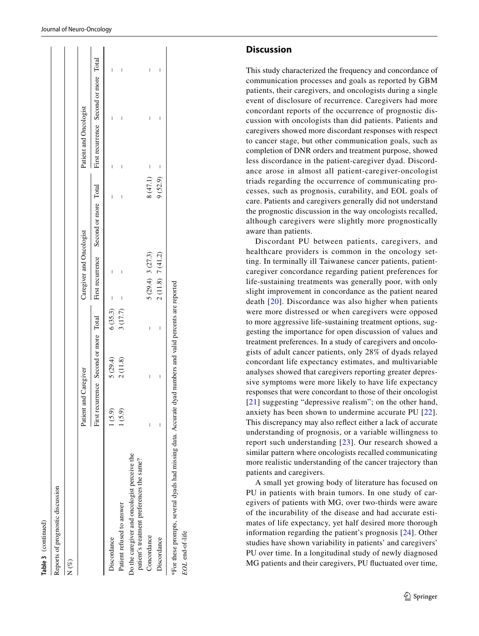|                                                                                           | Patient and Caregiver |         |         | Caregiver and Oncologist |         |   | Patient and Oncologist                                                                                            |  |
|-------------------------------------------------------------------------------------------|-----------------------|---------|---------|--------------------------|---------|---|-------------------------------------------------------------------------------------------------------------------|--|
|                                                                                           |                       |         |         |                          |         |   | First recurrence Second or more Total First recurrence Second or more Total First recurrence Second or more Total |  |
| Discordance                                                                               | 1(5.9)                | 5(29.4) | 6(35.3) |                          | ı       | ı |                                                                                                                   |  |
| Patient refused to answer                                                                 | (6.9)                 | 2(11.8) | 3(17.7) | I<br>I                   | I       |   | ı                                                                                                                 |  |
| Do the caregiver and oncologist perceive the<br>patient's treatment preferences the same? |                       |         |         |                          |         |   |                                                                                                                   |  |
| Concordance                                                                               | I                     | I       | I       | 5(29.4) 3(27.3)          | 8(47.1) | I | l<br>I                                                                                                            |  |
| Discordance                                                                               |                       | I       | I       | 2(11.8) 7(41.2)          | 9(52.9) | I | I<br>I                                                                                                            |  |

**Table 3** (continued)

Table 3 (continued)

Reports of prognostic discussion

Reports of prognostic discussion

**Discussion**

This study characterized the frequency and concordance of communication processes and goals as reported by GBM patients, their caregivers, and oncologists during a single event of disclosure of recurrence. Caregivers had more concordant reports of the occurrence of prognostic dis cussion with oncologists than did patients. Patients and caregivers showed more discordant responses with respect to cancer stage, but other communication goals, such as completion of DNR orders and treatment purpose, showed less discordance in the patient-caregiver dyad. Discord ance arose in almost all patient-caregiver-oncologist triads regarding the occurrence of communicating pro cesses, such as prognosis, curability, and EOL goals of care. Patients and caregivers generally did not understand the prognostic discussion in the way oncologists recalled, although caregivers were slightly more prognostically aware than patients.

Discordant PU between patients, caregivers, and healthcare providers is common in the oncology set ting. In terminally ill Taiwanese cancer patients, patientcaregiver concordance regarding patient preferences for life-sustaining treatments was generally poor, with only slight improvement in concordance as the patient neared death [\[20](#page-12-4)]. Discordance was also higher when patients were more distressed or when caregivers were opposed to more aggressive life-sustaining treatment options, sug gesting the importance for open discussion of values and treatment preferences. In a study of caregivers and oncolo gists of adult cancer patients, only 28% of dyads relayed concordant life expectancy estimates, and multivariable analyses showed that caregivers reporting greater depres sive symptoms were more likely to have life expectancy r[esp](#page-12-5)onses that were concordant to those of their oncologist [[21](#page-12-5)] suggesting "depressive realism"; on the other hand, anxiety has been shown to undermine accurate PU [[22\]](#page-12-6). This discrepancy may also refect either a lack of accurate understanding of prognosis, or a variable willingness to report such understanding [[23](#page-12-7)]. Our research showed a similar pattern where oncologists recalled communicating more realistic understanding of the cancer trajectory than patients and caregivers.

A small yet growing body of literature has focused on PU in patients with brain tumors. In one study of car egivers of patients with MG, over two-thirds were aware of the incurability of the disease and had accurate esti mates of life expectancy, yet half desired more thorough information regarding the patient's prognosis [\[24\]](#page-12-8). Other studies have shown variability in patients' and caregivers' PU over time. In a longitudinal study of newly diagnosed MG patients and their caregivers, PU fuctuated over time,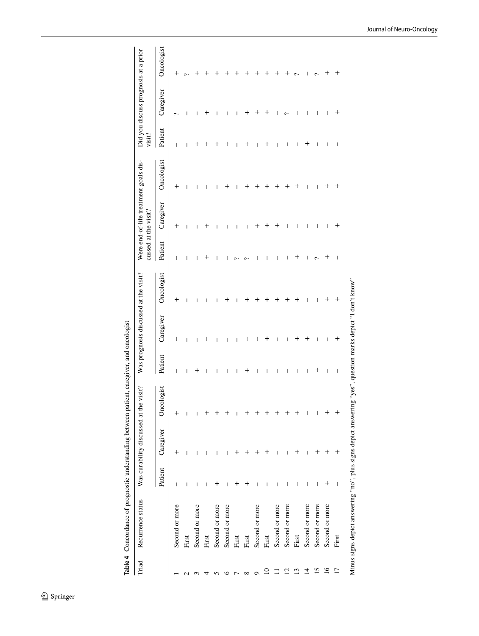<span id="page-9-0"></span>

| $\,{}^+$<br>Caregiver<br>$\hspace{0.1mm} +$<br>ı<br>I<br>ı<br>ı<br>$\sim$<br>Patient<br>┿<br>I<br>┿<br>┿<br>┽<br>I<br>I<br>I<br>I<br>╅<br>I<br>ı<br>I<br>I<br>ı<br>Oncologist<br>$\,{}^+$<br>+<br>┿<br>┿<br>╇<br>╅<br>I<br>┿<br>┿<br>ᆠ<br>ı<br>Caregiver<br>$\hspace{0.1mm} +$<br>┿<br>I<br>I<br>ı<br>I<br>I<br>I<br>I<br>I<br>ı<br>Patient<br>I<br>I<br>ı<br>ı<br>I<br>I<br>ı<br>I<br>¢<br>Oncologist<br>$\,{}^+$<br>┿<br>$\,{}^+$<br>┽<br>╅<br>I<br>I<br>ı<br>ı<br>Caregiver<br>$^+$<br>┿<br>╅<br>I<br>ı<br>ı<br>I<br>┽<br>I<br>I<br>I<br>ı<br>ı<br>Patient<br>$\,{}^+$<br>┿<br>I<br>I<br>I<br>┿<br>I<br>I<br>I<br>I<br>I<br>I<br>I<br>I<br>I<br>ı<br>Oncologist<br>$\,^+$<br>$\,{}^+$<br>Caregiver<br>$^{+}$<br>$\,{}^+$<br>$\,{}^+$<br>┿<br>┿<br>I<br>I<br>ı<br>Patient<br>$\,{}^+$<br>$\overline{\phantom{a}}$<br>+<br>$\overline{\phantom{a}}$<br>I<br>I<br>I<br>I<br>I<br>I<br>I<br>I<br>Second or more<br>Second or more<br>Second or more<br>Second or more<br>Second or more<br>Second or more<br>Second or more<br>Second or more<br>Second or more<br>Second or more<br>First<br>First<br>First<br>First<br>First<br>First<br>First<br>16<br>13<br>$\overline{1}$<br>15<br>Ľ<br>$\supseteq$<br>$\overline{c}$<br>σ<br>$\mathbf{\sim}$<br>S | Triad | Recurrence status | Was curability discussed at the visit? |  | Was prognosis discussed at the visit? | cussed at the visit? | Were end-of-life treatment goals dis- | visit? | Did you discuss prognosis at a prior |            |
|--------------------------------------------------------------------------------------------------------------------------------------------------------------------------------------------------------------------------------------------------------------------------------------------------------------------------------------------------------------------------------------------------------------------------------------------------------------------------------------------------------------------------------------------------------------------------------------------------------------------------------------------------------------------------------------------------------------------------------------------------------------------------------------------------------------------------------------------------------------------------------------------------------------------------------------------------------------------------------------------------------------------------------------------------------------------------------------------------------------------------------------------------------------------------------------------------------------------------------------------------------|-------|-------------------|----------------------------------------|--|---------------------------------------|----------------------|---------------------------------------|--------|--------------------------------------|------------|
|                                                                                                                                                                                                                                                                                                                                                                                                                                                                                                                                                                                                                                                                                                                                                                                                                                                                                                                                                                                                                                                                                                                                                                                                                                                        |       |                   |                                        |  |                                       |                      |                                       |        |                                      | Oncologist |
|                                                                                                                                                                                                                                                                                                                                                                                                                                                                                                                                                                                                                                                                                                                                                                                                                                                                                                                                                                                                                                                                                                                                                                                                                                                        |       |                   |                                        |  |                                       |                      |                                       |        |                                      |            |
|                                                                                                                                                                                                                                                                                                                                                                                                                                                                                                                                                                                                                                                                                                                                                                                                                                                                                                                                                                                                                                                                                                                                                                                                                                                        |       |                   |                                        |  |                                       |                      |                                       |        |                                      |            |
|                                                                                                                                                                                                                                                                                                                                                                                                                                                                                                                                                                                                                                                                                                                                                                                                                                                                                                                                                                                                                                                                                                                                                                                                                                                        |       |                   |                                        |  |                                       |                      |                                       |        |                                      |            |
|                                                                                                                                                                                                                                                                                                                                                                                                                                                                                                                                                                                                                                                                                                                                                                                                                                                                                                                                                                                                                                                                                                                                                                                                                                                        |       |                   |                                        |  |                                       |                      |                                       |        |                                      |            |
|                                                                                                                                                                                                                                                                                                                                                                                                                                                                                                                                                                                                                                                                                                                                                                                                                                                                                                                                                                                                                                                                                                                                                                                                                                                        |       |                   |                                        |  |                                       |                      |                                       |        |                                      |            |
|                                                                                                                                                                                                                                                                                                                                                                                                                                                                                                                                                                                                                                                                                                                                                                                                                                                                                                                                                                                                                                                                                                                                                                                                                                                        |       |                   |                                        |  |                                       |                      |                                       |        |                                      |            |
|                                                                                                                                                                                                                                                                                                                                                                                                                                                                                                                                                                                                                                                                                                                                                                                                                                                                                                                                                                                                                                                                                                                                                                                                                                                        |       |                   |                                        |  |                                       |                      |                                       |        |                                      |            |
|                                                                                                                                                                                                                                                                                                                                                                                                                                                                                                                                                                                                                                                                                                                                                                                                                                                                                                                                                                                                                                                                                                                                                                                                                                                        |       |                   |                                        |  |                                       |                      |                                       |        |                                      |            |
|                                                                                                                                                                                                                                                                                                                                                                                                                                                                                                                                                                                                                                                                                                                                                                                                                                                                                                                                                                                                                                                                                                                                                                                                                                                        |       |                   |                                        |  |                                       |                      |                                       |        |                                      |            |
|                                                                                                                                                                                                                                                                                                                                                                                                                                                                                                                                                                                                                                                                                                                                                                                                                                                                                                                                                                                                                                                                                                                                                                                                                                                        |       |                   |                                        |  |                                       |                      |                                       |        |                                      |            |
|                                                                                                                                                                                                                                                                                                                                                                                                                                                                                                                                                                                                                                                                                                                                                                                                                                                                                                                                                                                                                                                                                                                                                                                                                                                        |       |                   |                                        |  |                                       |                      |                                       |        |                                      |            |
|                                                                                                                                                                                                                                                                                                                                                                                                                                                                                                                                                                                                                                                                                                                                                                                                                                                                                                                                                                                                                                                                                                                                                                                                                                                        |       |                   |                                        |  |                                       |                      |                                       |        |                                      |            |
|                                                                                                                                                                                                                                                                                                                                                                                                                                                                                                                                                                                                                                                                                                                                                                                                                                                                                                                                                                                                                                                                                                                                                                                                                                                        |       |                   |                                        |  |                                       |                      |                                       |        |                                      |            |
|                                                                                                                                                                                                                                                                                                                                                                                                                                                                                                                                                                                                                                                                                                                                                                                                                                                                                                                                                                                                                                                                                                                                                                                                                                                        |       |                   |                                        |  |                                       |                      |                                       |        |                                      |            |
|                                                                                                                                                                                                                                                                                                                                                                                                                                                                                                                                                                                                                                                                                                                                                                                                                                                                                                                                                                                                                                                                                                                                                                                                                                                        |       |                   |                                        |  |                                       |                      |                                       |        |                                      |            |
|                                                                                                                                                                                                                                                                                                                                                                                                                                                                                                                                                                                                                                                                                                                                                                                                                                                                                                                                                                                                                                                                                                                                                                                                                                                        |       |                   |                                        |  |                                       |                      |                                       |        |                                      |            |
|                                                                                                                                                                                                                                                                                                                                                                                                                                                                                                                                                                                                                                                                                                                                                                                                                                                                                                                                                                                                                                                                                                                                                                                                                                                        |       |                   |                                        |  |                                       |                      |                                       |        |                                      |            |

Journal of Neuro-Oncology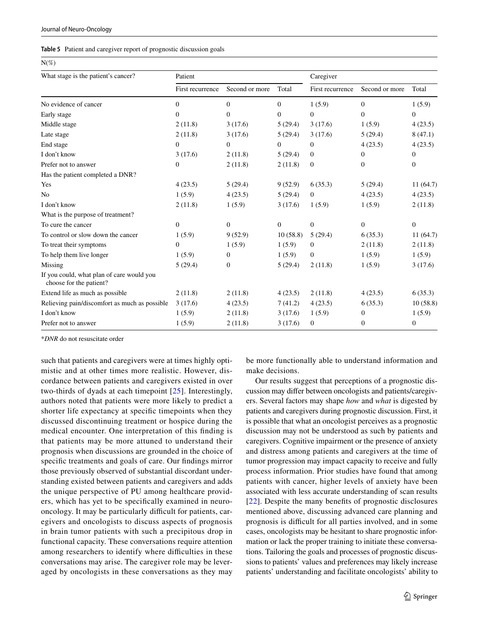<span id="page-10-0"></span>

| Table 5 Patient and caregiver report of prognostic discussion goals |  |
|---------------------------------------------------------------------|--|
|---------------------------------------------------------------------|--|

 $N(\mathcal{O}_c)$ 

| 11(70)                                                               |                  |                  |          |                  |                |                  |
|----------------------------------------------------------------------|------------------|------------------|----------|------------------|----------------|------------------|
| What stage is the patient's cancer?                                  | Patient          |                  |          | Caregiver        |                |                  |
|                                                                      | First recurrence | Second or more   | Total    | First recurrence | Second or more | Total            |
| No evidence of cancer                                                | $\Omega$         | $\mathbf{0}$     | $\Omega$ | 1(5.9)           | $\theta$       | 1(5.9)           |
| Early stage                                                          | $\Omega$         | $\Omega$         | $\Omega$ | $\Omega$         | $\Omega$       | $\overline{0}$   |
| Middle stage                                                         | 2(11.8)          | 3(17.6)          | 5(29.4)  | 3(17.6)          | 1(5.9)         | 4(23.5)          |
| Late stage                                                           | 2(11.8)          | 3(17.6)          | 5(29.4)  | 3(17.6)          | 5(29.4)        | 8(47.1)          |
| End stage                                                            | $\Omega$         | $\Omega$         | $\Omega$ | $\Omega$         | 4(23.5)        | 4(23.5)          |
| I don't know                                                         | 3(17.6)          | 2(11.8)          | 5(29.4)  | $\overline{0}$   | $\mathbf{0}$   | $\boldsymbol{0}$ |
| Prefer not to answer                                                 | $\mathbf{0}$     | 2(11.8)          | 2(11.8)  | $\mathbf{0}$     | $\mathbf{0}$   | $\overline{0}$   |
| Has the patient completed a DNR?                                     |                  |                  |          |                  |                |                  |
| Yes                                                                  | 4(23.5)          | 5(29.4)          | 9(52.9)  | 6(35.3)          | 5(29.4)        | 11(64.7)         |
| N <sub>0</sub>                                                       | 1(5.9)           | 4(23.5)          | 5(29.4)  | $\overline{0}$   | 4(23.5)        | 4(23.5)          |
| I don't know                                                         | 2(11.8)          | 1(5.9)           | 3(17.6)  | 1(5.9)           | 1(5.9)         | 2(11.8)          |
| What is the purpose of treatment?                                    |                  |                  |          |                  |                |                  |
| To cure the cancer                                                   | $\Omega$         | $\mathbf{0}$     | $\Omega$ | $\Omega$         | $\Omega$       | $\boldsymbol{0}$ |
| To control or slow down the cancer                                   | 1(5.9)           | 9(52.9)          | 10(58.8) | 5(29.4)          | 6(35.3)        | 11(64.7)         |
| To treat their symptoms                                              | $\Omega$         | 1(5.9)           | 1(5.9)   | $\overline{0}$   | 2(11.8)        | 2(11.8)          |
| To help them live longer                                             | 1(5.9)           | $\boldsymbol{0}$ | 1(5.9)   | $\overline{0}$   | 1(5.9)         | 1(5.9)           |
| Missing                                                              | 5(29.4)          | $\overline{0}$   | 5(29.4)  | 2(11.8)          | 1(5.9)         | 3(17.6)          |
| If you could, what plan of care would you<br>choose for the patient? |                  |                  |          |                  |                |                  |
| Extend life as much as possible                                      | 2(11.8)          | 2(11.8)          | 4(23.5)  | 2(11.8)          | 4(23.5)        | 6(35.3)          |
| Relieving pain/discomfort as much as possible                        | 3(17.6)          | 4(23.5)          | 7(41.2)  | 4(23.5)          | 6(35.3)        | 10(58.8)         |
| I don't know                                                         | 1(5.9)           | 2(11.8)          | 3(17.6)  | 1(5.9)           | $\mathbf{0}$   | 1(5.9)           |
| Prefer not to answer                                                 | 1(5.9)           | 2(11.8)          | 3(17.6)  | $\boldsymbol{0}$ | $\mathbf{0}$   | $\boldsymbol{0}$ |

\**DNR* do not resuscitate order

such that patients and caregivers were at times highly optimistic and at other times more realistic. However, discordance between patients and caregivers existed in over two-thirds of dyads at each timepoint [[25](#page-12-9)]. Interestingly, authors noted that patients were more likely to predict a shorter life expectancy at specifc timepoints when they discussed discontinuing treatment or hospice during the medical encounter. One interpretation of this fnding is that patients may be more attuned to understand their prognosis when discussions are grounded in the choice of specifc treatments and goals of care. Our fndings mirror those previously observed of substantial discordant understanding existed between patients and caregivers and adds the unique perspective of PU among healthcare providers, which has yet to be specifcally examined in neurooncology. It may be particularly difficult for patients, caregivers and oncologists to discuss aspects of prognosis in brain tumor patients with such a precipitous drop in functional capacity. These conversations require attention among researchers to identify where difficulties in these conversations may arise. The caregiver role may be leveraged by oncologists in these conversations as they may be more functionally able to understand information and make decisions.

Our results suggest that perceptions of a prognostic discussion may difer between oncologists and patients/caregivers. Several factors may shape *how* and *what* is digested by patients and caregivers during prognostic discussion. First, it is possible that what an oncologist perceives as a prognostic discussion may not be understood as such by patients and caregivers. Cognitive impairment or the presence of anxiety and distress among patients and caregivers at the time of tumor progression may impact capacity to receive and fully process information. Prior studies have found that among patients with cancer, higher levels of anxiety have been associated with less accurate understanding of scan results [[22\]](#page-12-6). Despite the many benefts of prognostic disclosures mentioned above, discussing advanced care planning and prognosis is difficult for all parties involved, and in some cases, oncologists may be hesitant to share prognostic information or lack the proper training to initiate these conversations. Tailoring the goals and processes of prognostic discussions to patients' values and preferences may likely increase patients' understanding and facilitate oncologists' ability to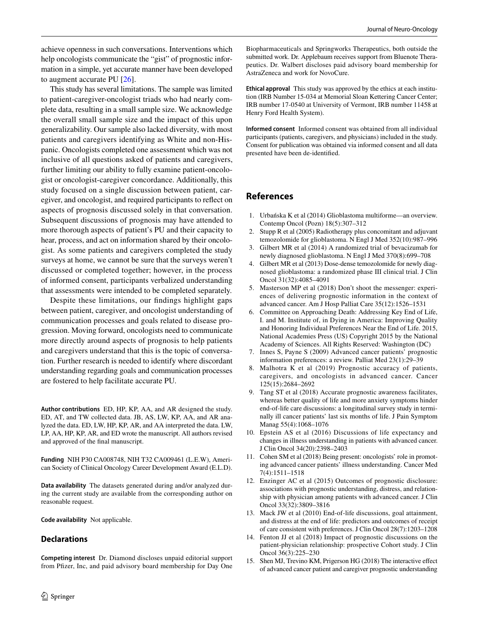achieve openness in such conversations. Interventions which help oncologists communicate the "gist" of prognostic information in a simple, yet accurate manner have been developed to augment accurate PU [\[26](#page-12-10)].

This study has several limitations. The sample was limited to patient-caregiver-oncologist triads who had nearly complete data, resulting in a small sample size. We acknowledge the overall small sample size and the impact of this upon generalizability. Our sample also lacked diversity, with most patients and caregivers identifying as White and non-Hispanic. Oncologists completed one assessment which was not inclusive of all questions asked of patients and caregivers, further limiting our ability to fully examine patient-oncologist or oncologist-caregiver concordance. Additionally, this study focused on a single discussion between patient, caregiver, and oncologist, and required participants to refect on aspects of prognosis discussed solely in that conversation. Subsequent discussions of prognosis may have attended to more thorough aspects of patient's PU and their capacity to hear, process, and act on information shared by their oncologist. As some patients and caregivers completed the study surveys at home, we cannot be sure that the surveys weren't discussed or completed together; however, in the process of informed consent, participants verbalized understanding that assessments were intended to be completed separately.

Despite these limitations, our fndings highlight gaps between patient, caregiver, and oncologist understanding of communication processes and goals related to disease progression. Moving forward, oncologists need to communicate more directly around aspects of prognosis to help patients and caregivers understand that this is the topic of conversation. Further research is needed to identify where discordant understanding regarding goals and communication processes are fostered to help facilitate accurate PU.

**Author contributions** ED, HP, KP, AA, and AR designed the study. ED, AT, and TW collected data. JB, AS, LW, KP, AA, and AR analyzed the data. ED, LW, HP, KP, AR, and AA interpreted the data. LW, LP, AA, HP, KP, AR, and ED wrote the manuscript. All authors revised and approved of the fnal manuscript.

**Funding** NIH P30 CA008748, NIH T32 CA009461 (L.E.W), American Society of Clinical Oncology Career Development Award (E.L.D).

**Data availability** The datasets generated during and/or analyzed during the current study are available from the corresponding author on reasonable request.

**Code availability** Not applicable.

#### **Declarations**

**Competing interest** Dr. Diamond discloses unpaid editorial support from Pfizer, Inc, and paid advisory board membership for Day One

Biopharmaceuticals and Springworks Therapeutics, both outside the submitted work. Dr. Applebaum receives support from Bluenote Therapeutics. Dr. Walbert discloses paid advisory board membership for AstraZeneca and work for NovoCure.

**Ethical approval** This study was approved by the ethics at each institution (IRB Number 15-034 at Memorial Sloan Kettering Cancer Center; IRB number 17-0540 at University of Vermont, IRB number 11458 at Henry Ford Health System).

**Informed consent** Informed consent was obtained from all individual participants (patients, caregivers, and physicians) included in the study. Consent for publication was obtained via informed consent and all data presented have been de-identifed.

### **References**

- <span id="page-11-0"></span>1. Urbańska K et al (2014) Glioblastoma multiforme—an overview. Contemp Oncol (Pozn) 18(5):307–312
- <span id="page-11-1"></span>2. Stupp R et al (2005) Radiotherapy plus concomitant and adjuvant temozolomide for glioblastoma. N Engl J Med 352(10):987–996
- 3. Gilbert MR et al (2014) A randomized trial of bevacizumab for newly diagnosed glioblastoma. N Engl J Med 370(8):699–708
- <span id="page-11-2"></span>4. Gilbert MR et al (2013) Dose-dense temozolomide for newly diagnosed glioblastoma: a randomized phase III clinical trial. J Clin Oncol 31(32):4085–4091
- <span id="page-11-3"></span>5. Masterson MP et al (2018) Don't shoot the messenger: experiences of delivering prognostic information in the context of advanced cancer. Am J Hosp Palliat Care 35(12):1526–1531
- <span id="page-11-4"></span>6. Committee on Approaching Death: Addressing Key End of Life, I. and M. Institute of, in Dying in America: Improving Quality and Honoring Individual Preferences Near the End of Life. 2015, National Academies Press (US) Copyright 2015 by the National Academy of Sciences. All Rights Reserved: Washington (DC)
- <span id="page-11-5"></span>7. Innes S, Payne S (2009) Advanced cancer patients' prognostic information preferences: a review. Palliat Med 23(1):29–39
- <span id="page-11-6"></span>8. Malhotra K et al (2019) Prognostic accuracy of patients, caregivers, and oncologists in advanced cancer. Cancer 125(15):2684–2692
- <span id="page-11-7"></span>9. Tang ST et al (2018) Accurate prognostic awareness facilitates, whereas better quality of life and more anxiety symptoms hinder end-of-life care discussions: a longitudinal survey study in terminally ill cancer patients' last six months of life. J Pain Symptom Manag 55(4):1068–1076
- <span id="page-11-8"></span>10. Epstein AS et al (2016) Discussions of life expectancy and changes in illness understanding in patients with advanced cancer. J Clin Oncol 34(20):2398–2403
- 11. Cohen SM et al (2018) Being present: oncologists' role in promoting advanced cancer patients' illness understanding. Cancer Med 7(4):1511–1518
- 12. Enzinger AC et al (2015) Outcomes of prognostic disclosure: associations with prognostic understanding, distress, and relationship with physician among patients with advanced cancer. J Clin Oncol 33(32):3809–3816
- <span id="page-11-9"></span>13. Mack JW et al (2010) End-of-life discussions, goal attainment, and distress at the end of life: predictors and outcomes of receipt of care consistent with preferences. J Clin Oncol 28(7):1203–1208
- <span id="page-11-10"></span>14. Fenton JJ et al (2018) Impact of prognostic discussions on the patient-physician relationship: prospective Cohort study. J Clin Oncol 36(3):225–230
- <span id="page-11-11"></span>15. Shen MJ, Trevino KM, Prigerson HG (2018) The interactive efect of advanced cancer patient and caregiver prognostic understanding